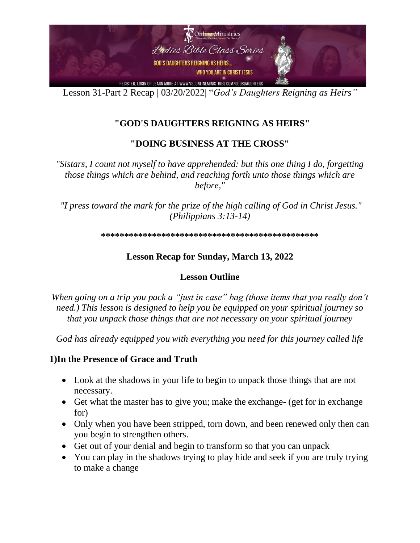

## **"GOD'S DAUGHTERS REIGNING AS HEIRS"**

#### **"DOING BUSINESS AT THE CROSS"**

*"Sistars, I count not myself to have apprehended: but this one thing I do, forgetting those things which are behind, and reaching forth unto those things which are before,"*

*"I press toward the mark for the prize of the high calling of God in Christ Jesus." (Philippians 3:13-14)*

**\*\*\*\*\*\*\*\*\*\*\*\*\*\*\*\*\*\*\*\*\*\*\*\*\*\*\*\*\*\*\*\*\*\*\*\*\*\*\*\*\*\*\*\*\*\*\*** 

#### **Lesson Recap for Sunday, March 13, 2022**

#### **Lesson Outline**

*When going on a trip you pack a "just in case" bag (those items that you really don't need.) This lesson is designed to help you be equipped on your spiritual journey so that you unpack those things that are not necessary on your spiritual journey*

*God has already equipped you with everything you need for this journey called life* 

#### **1)In the Presence of Grace and Truth**

- Look at the shadows in your life to begin to unpack those things that are not necessary.
- Get what the master has to give you; make the exchange- (get for in exchange for)
- Only when you have been stripped, torn down, and been renewed only then can you begin to strengthen others.
- Get out of your denial and begin to transform so that you can unpack
- You can play in the shadows trying to play hide and seek if you are truly trying to make a change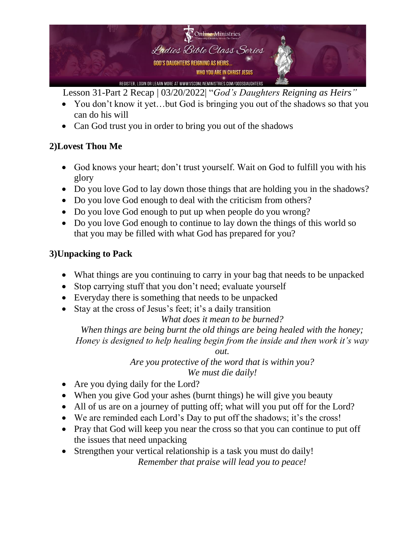

- You don't know it yet...but God is bringing you out of the shadows so that you can do his will
- Can God trust you in order to bring you out of the shadows

# **2)Lovest Thou Me**

- God knows your heart; don't trust yourself. Wait on God to fulfill you with his glory
- Do you love God to lay down those things that are holding you in the shadows?
- Do you love God enough to deal with the criticism from others?
- Do you love God enough to put up when people do you wrong?
- Do you love God enough to continue to lay down the things of this world so that you may be filled with what God has prepared for you?

## **3)Unpacking to Pack**

- What things are you continuing to carry in your bag that needs to be unpacked
- Stop carrying stuff that you don't need; evaluate yourself
- Everyday there is something that needs to be unpacked
- Stay at the cross of Jesus's feet; it's a daily transition

### *What does it mean to be burned?*

*When things are being burnt the old things are being healed with the honey; Honey is designed to help healing begin from the inside and then work it's way* 

*out.* 

*Are you protective of the word that is within you? We must die daily!*

- Are you dying daily for the Lord?
- When you give God your ashes (burnt things) he will give you beauty
- All of us are on a journey of putting off; what will you put off for the Lord?
- We are reminded each Lord's Day to put off the shadows; it's the cross!
- Pray that God will keep you near the cross so that you can continue to put off the issues that need unpacking
- Strengthen your vertical relationship is a task you must do daily!

*Remember that praise will lead you to peace!*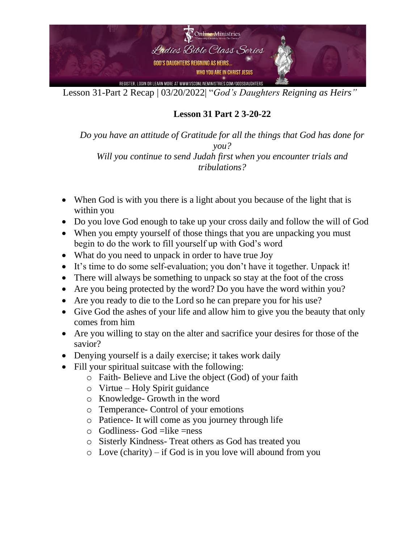

**Lesson 31 Part 2 3-20-22**

*Do you have an attitude of Gratitude for all the things that God has done for you? Will you continue to send Judah first when you encounter trials and* 

*tribulations?*

- When God is with you there is a light about you because of the light that is within you
- Do you love God enough to take up your cross daily and follow the will of God
- When you empty yourself of those things that you are unpacking you must begin to do the work to fill yourself up with God's word
- What do you need to unpack in order to have true Joy
- It's time to do some self-evaluation; you don't have it together. Unpack it!
- There will always be something to unpack so stay at the foot of the cross
- Are you being protected by the word? Do you have the word within you?
- Are you ready to die to the Lord so he can prepare you for his use?
- Give God the ashes of your life and allow him to give you the beauty that only comes from him
- Are you willing to stay on the alter and sacrifice your desires for those of the savior?
- Denying yourself is a daily exercise; it takes work daily
- Fill your spiritual suitcase with the following:
	- o Faith- Believe and Live the object (God) of your faith
	- o Virtue Holy Spirit guidance
	- o Knowledge- Growth in the word
	- o Temperance- Control of your emotions
	- o Patience- It will come as you journey through life
	- $\circ$  Godliness- God =like =ness
	- o Sisterly Kindness- Treat others as God has treated you
	- $\circ$  Love (charity) if God is in you love will abound from you